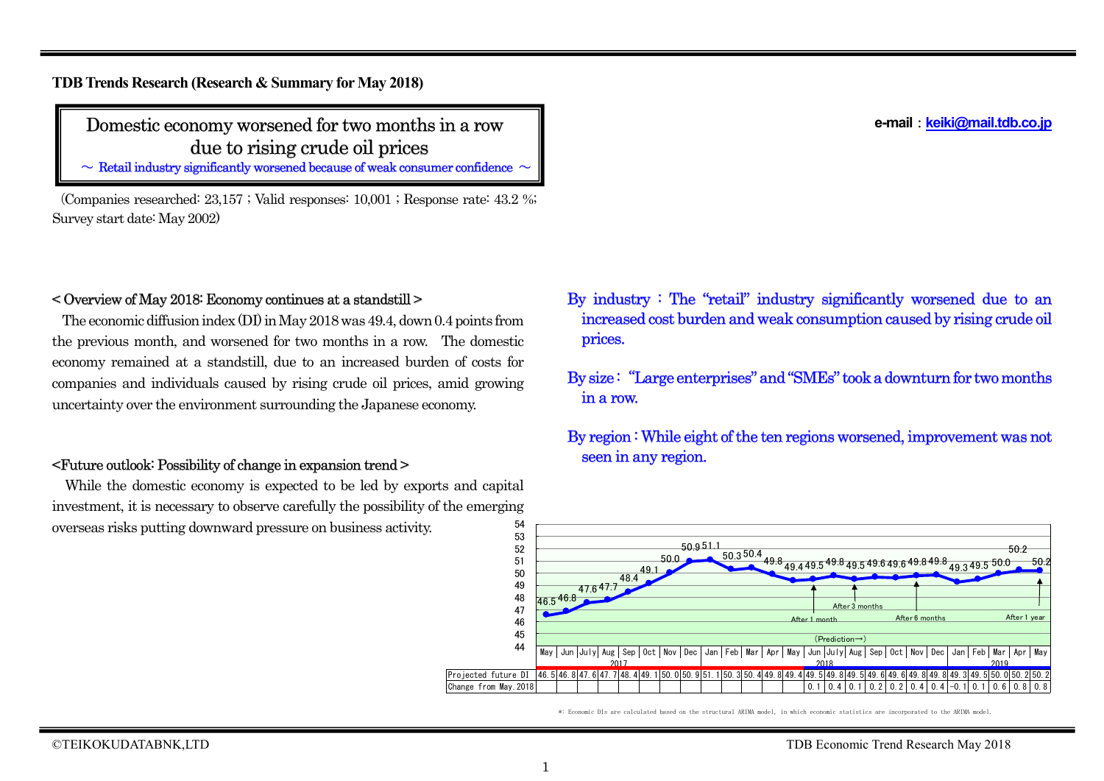#### **e-mail**:**keiki@mail.tdb.co.jp**

**TDB Trends Research (Research & Summary for May 2018)**

## Domestic economy worsened for two months in a row due to rising crude oil prices

 $\sim$  Retail industry significantly worsened because of weak consumer confidence  $\sim$ 

(Companies researched: 23,157 ; Valid responses: 10,001 ; Response rate: 43.2 %; Survey start date: May 2002)

## < Overview of May 2018: Economy continues at a standstill >

The economic diffusion index (DI) in May 2018 was 49.4, down 0.4 points from the previous month, and worsened for two months in a row. The domestic economy remained at a standstill, due to an increased burden of costs for companies and individuals caused by rising crude oil prices, amid growing uncertainty over the environment surrounding the Japanese economy.

## <Future outlook: Possibility of change in expansion trend >

While the domestic economy is expected to be led by exports and capital investment, it is necessary to observe carefully the possibility of the emerging overseas risks putting downward pressure on business activity. 54

- By industry : The "retail" industry significantly worsened due to an increased cost burden and weak consumption caused by rising crude oil prices.
- By size: "Large enterprises" and "SMEs" took a downturn for two months in a row.
- By region : While eight of the ten regions worsened, improvement was not seen in any region.



\*: Economic DIs are calculated based on the structural ARIMA model, in which economic statistics are incorporated to the ARIMA model.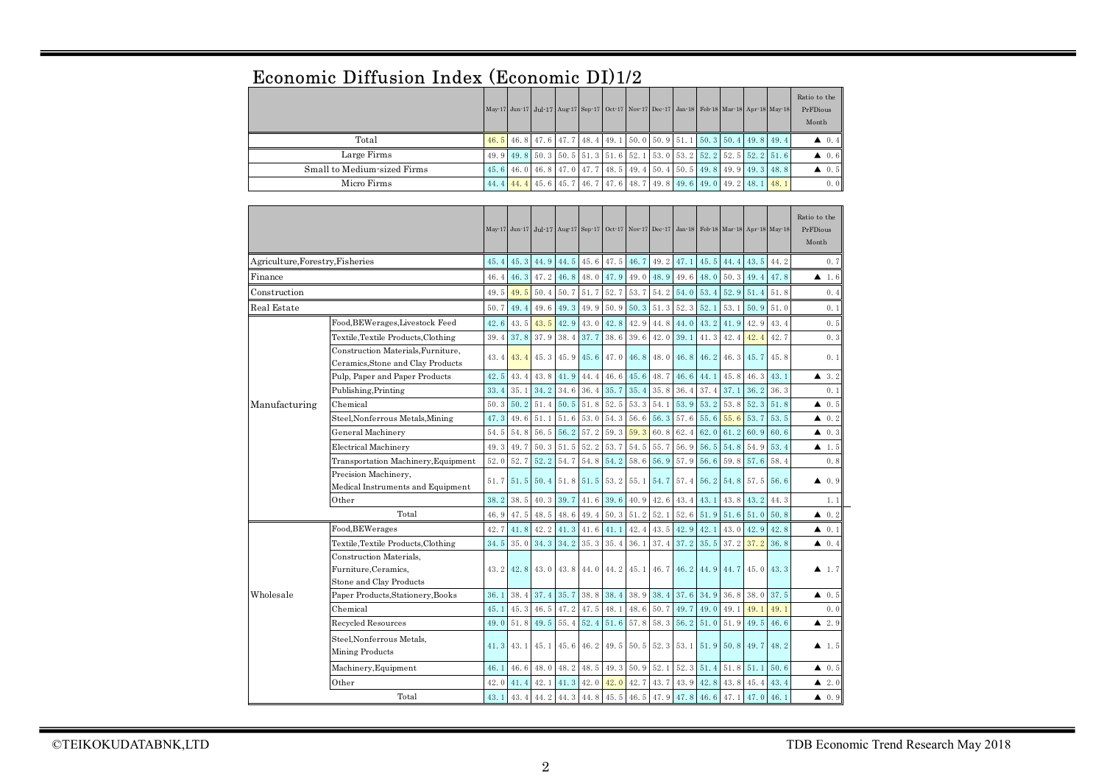|  |  |  | Economic Diffusion Index (Economic DI)1/2 |  |
|--|--|--|-------------------------------------------|--|
|--|--|--|-------------------------------------------|--|

|                             |  |  |  |  |  |  | May 17 Jun 17 Jul 17 Aug 17 Sep 17 Oct 17 Nov 17 Dec 17 Jan 18 Feb 18 Mar 18 Apr 18 May 18 | Ratio to the<br>PrFDious<br>Month |
|-----------------------------|--|--|--|--|--|--|--------------------------------------------------------------------------------------------|-----------------------------------|
| Total                       |  |  |  |  |  |  | 46.5 46.8 47.6 47.7 48.4 49.1 50.0 50.9 51.1 50.3 50.4 49.8 49.4                           | $\triangle$ 0.4                   |
| Large Firms                 |  |  |  |  |  |  | 49.9 49.8 50.3 50.5 51.3 51.6 52.1 53.0 53.2 52.2 52.5 52.2 51.6                           | $\triangle$ 0.6                   |
| Small to Medium-sized Firms |  |  |  |  |  |  | 45, 6 46, 0 46, 8 47, 0 47, 7 48, 5 49, 4 50, 4 50, 5 49, 8 49, 9 49, 3 48, 8              | $\triangle$ 0.5                   |
| Micro Firms                 |  |  |  |  |  |  | 44. 4 44. 4 45. 6 45. 7 46. 7 47. 6 48. 7 49. 8 49. 6 49. 0 49. 2 48. 1 48. 1              | 0.0                               |

|                                  |                                                                            |      |      |      | May 17 Jun 17 Jul 17 Aug 17 Sep 17 Oct 17 Nov 17 Dec 17 Jan 18 Feb 18 Mar 18 Apr 18 May 18 |      |      |      |      |      |      |             |      | Ratio to the<br>PrFDious<br>Month |                      |
|----------------------------------|----------------------------------------------------------------------------|------|------|------|--------------------------------------------------------------------------------------------|------|------|------|------|------|------|-------------|------|-----------------------------------|----------------------|
| Agriculture, Forestry, Fisheries |                                                                            | 45.4 | 45.3 | 44.9 | 44.5                                                                                       | 45.6 | 47.5 | 46.7 | 49.2 | 47.1 | 45.5 | 44.4        | 43.5 | 44.2                              | 0.7                  |
| Finance                          |                                                                            | 46.4 | 46.3 | 47.2 | 46.8                                                                                       | 48.0 | 47.9 | 49.0 | 48.9 | 49.6 | 48.0 | 50.3        | 49.4 | 47.8                              | ▲<br>-1.6            |
| Construction                     |                                                                            | 49.5 | 49.5 | 50.4 | 50.7                                                                                       | 51.7 | 52.7 | 53.7 | 54.2 | 54.0 | 53.4 | 52.9        | 51.4 | 51.8                              | 0.4                  |
| Real Estate                      |                                                                            | 50.7 | 49.4 | 49.6 | 49.3                                                                                       | 49.9 | 50.9 | 50.3 | 51.3 | 52.3 | 52.1 | 53.1        | 50.9 | 51.0                              | 0.1                  |
|                                  | 42.6                                                                       | 43.5 | 43.5 | 42.9 | 43.0                                                                                       | 42.8 | 42.9 | 44.8 | 44.0 | 43.2 | 41.9 | 42.9        | 43.4 | 0.5                               |                      |
|                                  | Textile, Textile Products, Clothing                                        | 39.4 | 37.8 | 37.9 | 38.4                                                                                       | 37.7 | 38.6 | 39.6 | 42.0 | 39.1 | 41.3 | 42.4        | 42.4 | 42.7                              | 0.3                  |
|                                  | Construction Materials. Furniture.<br>Ceramics, Stone and Clay Products    | 43.4 | 43.4 | 45.3 | 45.9                                                                                       | 45.6 | 47.0 | 46.8 | 48.0 | 46.8 | 46.2 | 46.3        | 45.7 | 45.8                              | 0.1                  |
|                                  | Pulp, Paper and Paper Products                                             | 42.5 | 43.4 | 43.8 | 41.9                                                                                       | 44.4 | 46.6 | 45.6 | 48.7 | 46.6 | 44.1 | 45.8        | 46.3 | 43.1                              | $\blacktriangle$ 3.2 |
|                                  | Publishing, Printing                                                       | 33.4 | 35.1 | 34.2 | 34.6                                                                                       | 36.4 | 35.7 | 35.4 | 35.8 | 36.4 | 37.4 | 37.1        | 36.2 | 36.3                              | 0.1                  |
| Manufacturing                    | Chemical                                                                   | 50.3 | 50.2 | 51.4 | 50.5                                                                                       | 51.8 | 52.5 | 53.3 | 54.1 | 53.9 | 53.2 | 53.8        | 52.3 | 51.8                              | $\triangle$ 0.5      |
|                                  | Steel, Nonferrous Metals, Mining                                           | 47.3 | 49.6 | 51.1 | 51.6                                                                                       | 53.0 | 54.3 | 56.6 | 56.3 | 57.6 | 55.6 | 55.6        | 53.7 | 53.5                              | $\blacktriangle$ 0.2 |
|                                  | General Machinery                                                          | 54.5 | 54.8 | 56.5 | 56.2                                                                                       | 57.2 | 59.3 | 59.3 | 60.8 | 62.4 | 62.0 | 61.2        | 60.9 | 60.6                              | $\blacktriangle$ 0.3 |
|                                  | <b>Electrical Machinery</b>                                                | 49.3 | 49.7 | 50.3 | 51.5                                                                                       | 52.2 | 53.7 | 54.5 | 55.7 | 56.9 | 56.5 | 54.8        | 54.9 | 53.4                              | $\blacktriangle$ 1.5 |
|                                  | Transportation Machinery, Equipment                                        | 52.0 | 52.7 | 52.2 | 54.7                                                                                       | 54.8 | 54.2 | 58.6 | 56.9 | 57.9 | 56.6 | 59.8        | 57.6 | 58.4                              | 0.8                  |
|                                  | Precision Machinery,<br>Medical Instruments and Equipment                  | 51.7 | 51.5 | 50.4 | 51.8                                                                                       | 51.5 | 53.2 | 55.1 | 54.7 | 57.4 | 56.2 | 54.8        | 57.5 | 56.6                              | $\blacktriangle$ 0.9 |
|                                  | Other                                                                      | 38.2 | 38.5 | 40.3 | 39.7                                                                                       | 41.6 | 39.6 | 40.9 | 42.6 | 43.4 | 43.1 | 43.8        | 43.2 | 44.3                              | 1.1                  |
|                                  | Total                                                                      | 46.9 | 47.5 | 48.5 | 48.6                                                                                       | 49.4 | 50.3 | 51.2 | 52.1 | 52.6 | 51.9 | 51.6        | 51.0 | 50.8                              | 0.2<br>▲             |
|                                  | Food, BEWerages                                                            | 42.7 | 41.8 | 42.2 | 41.3                                                                                       | 41.6 | 41.1 | 42.4 | 43.5 | 42.9 | 42.1 | 43.0        | 42.9 | 42.8                              | $\triangle$ 0.1      |
|                                  | Textile, Textile Products, Clothing                                        | 34.5 | 35.0 | 34.3 | 34.2                                                                                       | 35.3 | 35.4 | 36.1 | 37.4 | 37.2 | 35.5 | 37.2        | 37.2 | 36.8                              | $\blacktriangle$ 0.4 |
|                                  | Construction Materials.<br>Furniture, Ceramics,<br>Stone and Clay Products | 43.2 | 42.8 | 43.0 | 43.8                                                                                       | 44.0 | 44.2 | 45.1 | 46.7 | 46.2 | 44.9 | 44.7        | 45.0 | 43.3                              | $\blacktriangle$ 1.7 |
| Wholesale                        | Paper Products, Stationery, Books                                          | 36.1 | 38.4 | 37.4 | 35.7                                                                                       | 38.8 | 38.4 | 38.9 | 38.4 | 37.6 | 34.9 | 36.8        | 38.0 | 37.5                              | 40.5                 |
|                                  | Chemical                                                                   | 45.1 | 45.3 | 46.5 | 47.2                                                                                       | 47.5 | 48.1 | 48.6 | 50.7 | 49.7 | 49.0 | 49.1        | 49.1 | 49.1                              | 0.0                  |
|                                  | Recycled Resources                                                         | 49.0 | 51.8 | 49.5 | 55.4                                                                                       | 52.4 | 51.6 | 57.8 | 58.3 | 56.2 | 51.0 | 51.9        | 49.5 | 46.6                              | $\blacktriangle$ 2.9 |
|                                  | Steel, Nonferrous Metals,<br>Mining Products                               | 41.3 | 43.1 | 45.1 | 45.6                                                                                       | 46.2 | 49.5 | 50.5 | 52.3 | 53.1 | 51.9 | $50.8$ 49.7 |      | 48.2                              | $\blacktriangle$ 1.5 |
|                                  | Machinery, Equipment                                                       | 46.1 | 46.6 | 48.0 | 48.2                                                                                       | 48.5 | 49.3 | 50.9 | 52.1 | 52.3 | 51.4 | $51.8$ 51.1 |      | 50.6                              | $\blacktriangle$ 0.5 |
|                                  | Other                                                                      | 42.0 | 41.4 | 42.1 | 41.3                                                                                       | 42.0 | 42.0 | 42.7 | 43.7 | 43.9 | 42.8 | 43.8        | 45.4 | 43.4                              | $\triangle$ 2.0      |
|                                  | Total                                                                      | 43.1 | 43.4 | 44.2 | 44.3                                                                                       | 44.8 | 45.5 | 46.5 | 47.9 | 47.8 | 46.6 | 47.1        | 47.0 | 46.1                              | $\triangle$ 0.9      |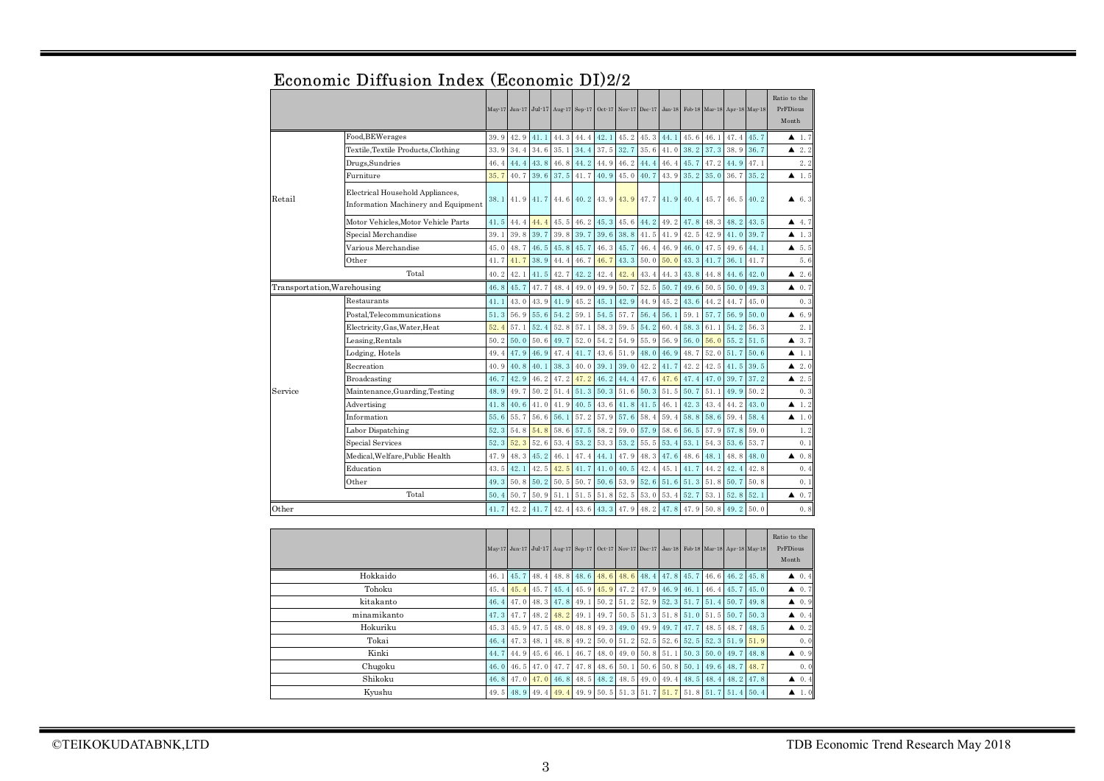|                             |                                                                         |      |      |      |      |           |      | May 17 Jun 17 Jul 17 Aug 17 Sep 17 Oct 17 Nov 17 Dec 17 Jan 18 Feb 18 Mar 18 Apr 18 May 18 |      |      |           |      |           |      | Ratio to the<br>PrFDious<br>Month |
|-----------------------------|-------------------------------------------------------------------------|------|------|------|------|-----------|------|--------------------------------------------------------------------------------------------|------|------|-----------|------|-----------|------|-----------------------------------|
|                             | Food, BEWerages                                                         | 39.9 | 42.9 | 41.1 | 44.3 | 44.4      | 42.1 | 45.2                                                                                       | 45.3 | 44.1 | 45.6      | 46.1 | 47.4      | 45.7 | $\blacktriangle$ 1.7              |
|                             | Textile, Textile Products, Clothing                                     | 33.9 | 34.4 | 34.6 | 35.1 | 34.4      | 37.5 | 32.7                                                                                       | 35.6 | 41.0 | 38.2      | 37.3 | 38.9      | 36.7 | 2.2<br>▲                          |
|                             | Drugs, Sundries                                                         | 46.4 | 44.4 | 43.8 | 46.8 | 44.2      | 44.9 | 46.2                                                                                       | 44.4 | 46.4 | 45.7      | 47.2 | 44.9      | 47.1 | 2.2                               |
|                             | Furniture                                                               | 35.7 | 40.7 | 39.6 | 37.5 | 41.7      | 40.9 | 45.0                                                                                       | 40.7 | 43.9 | 35.2      | 35.0 | 36.7      | 35.2 | 1.5<br>▲                          |
| Retail                      | Electrical Household Appliances,<br>Information Machinery and Equipment | 38.1 | 41.9 | 41.7 | 44.6 | 40.2 43.9 |      | 43.9                                                                                       | 47.7 | 41.9 | 40.4 45.7 |      | 46.5 40.2 |      | ▲<br>6.3                          |
|                             | Motor Vehicles.Motor Vehicle Parts                                      | 41.5 | 44.4 | 44.4 | 45.5 | 46.2      | 45.3 | 45.6                                                                                       | 44.2 | 49.2 | 47.8      | 48.3 | 48.2      | 43.5 | 4.7<br>▲                          |
|                             | Special Merchandise                                                     | 39.1 | 39.8 | 39.7 | 39.8 | 39.7      | 39.6 | 38.8                                                                                       | 41.5 | 41.9 | 42.5      | 42.9 | 41.0      | 39.7 | $\blacktriangle$ 1.3              |
|                             | Various Merchandise                                                     | 45.0 | 48.7 | 46.5 | 45.8 | 45.7      | 46.3 | 45.7                                                                                       | 46.4 | 46.9 | 46.0      | 47.5 | 49.6      | 44.1 | 4, 5, 5                           |
|                             | Other                                                                   | 41.7 | 41.7 | 38.9 | 44.4 | 46.7      | 46.7 | 43.3                                                                                       | 50.0 | 50.0 | 43.3      | 41.7 | 36.1      | 41.7 | 5.6                               |
|                             | Total                                                                   | 40.2 | 42.1 | 41.5 | 42.7 | 42.2      | 42.4 | 42.4                                                                                       | 43.4 | 44.3 | 43.8      | 44.8 | 44.6      | 42.0 | 2.6<br>▲                          |
| Transportation, Warehousing |                                                                         | 46.8 | 45.7 | 47.7 | 48.4 | 49.0      | 49.9 | 50.7                                                                                       | 52.5 | 50.7 | 49.6      | 50.5 | 50.0      | 49.3 | $\triangle$ 0.7                   |
|                             | Restaurants                                                             | 41.1 | 43.0 | 43.9 | 41.9 | 45.2      | 45.1 | 42.9                                                                                       | 44.9 | 45.2 | 43.6      | 44.2 | 44.7      | 45.0 | 0.3                               |
|                             | Postal.Telecommunications                                               | 51.3 | 56.9 | 55.6 | 54.2 | 59.1      | 54.5 | 57.7                                                                                       | 56.4 | 56.1 | 59.1      | 57.7 | 56.9      | 50.0 | $\triangle$ 6.9                   |
|                             | Electricity, Gas, Water, Heat                                           | 52.4 | 57.1 | 52.4 | 52.8 | 57.1      | 58.3 | 59.5                                                                                       | 54.2 | 60.4 | 58.3      | 61.1 | 54.2      | 56.3 | 2.1                               |
|                             | Leasing, Rentals                                                        |      | 50.0 | 50.6 | 49.7 | 52.0      | 54.2 | 54.9                                                                                       | 55.9 | 56.9 | 56.0      | 56.0 | 55.2      | 51.5 | 43.7                              |
|                             | Lodging, Hotels                                                         |      | 47.9 | 46.9 | 47.4 | 41.7      | 43.6 | 51.9                                                                                       | 48.0 | 46.9 | 48.7      | 52.0 | 51.7      | 50.6 | $\blacktriangle$ 1.1              |
|                             | Recreation                                                              | 40.9 | 40.8 | 40.1 | 38.3 | 40.0      | 39.1 | 39.0                                                                                       | 42.2 | 41.7 | 42.2      | 42.5 | 41.5      | 39.5 | $\blacktriangle$ 2.0              |
|                             | Broadcasting                                                            | 46.7 | 42.9 | 46.2 | 47.2 | 47.2      | 46.2 | 44.4                                                                                       | 47.6 | 47.6 | 47.4      | 47.0 | 39.7      | 37.2 | 2.5                               |
| Service                     | Maintenance, Guarding, Testing                                          | 48.9 | 49.7 | 50.2 | 51.4 | 51.3      | 50.3 | 51.6                                                                                       | 50.3 | 51.5 | 50.7      | 51.1 | 49.9      | 50.2 | 0.3                               |
|                             | Advertising                                                             | 41.8 | 40.6 | 41.0 | 41.9 | 40.5      | 43.6 | 41.8                                                                                       | 41.5 | 46.1 | 42.3      | 43.4 | 44.2      | 43.0 | $\blacktriangle$ 1.2              |
|                             | Information                                                             | 55.6 | 55.7 | 56.6 | 56.1 | 57.2      | 57.9 | 57.6                                                                                       | 58.4 | 59.4 | 58.8      | 58.6 | 59.4      | 58.4 | $\blacktriangle$ 1.0              |
|                             | Labor Dispatching                                                       | 52.3 | 54.8 | 54.8 | 58.6 | 57.5      | 58.2 | 59.0                                                                                       | 57.9 | 58.6 | 56.5      | 57.9 | 57.8      | 59.0 | 1.2                               |
|                             | Special Services                                                        | 52.3 | 52.3 | 52.6 | 53.4 | 53.2      | 53.3 | 53.2                                                                                       | 55.5 | 53.4 | 53.1      | 54.3 | 53.6      | 53.7 | 0.1                               |
|                             | Medical.Welfare.Public Health                                           | 47.9 | 48.3 | 45.2 | 46.1 | 47.4      | 44.1 | 47.9                                                                                       | 48.3 | 47.6 | 48.6      | 48.1 | 48.8      | 48.0 | 0.8<br>▲                          |
|                             | Education                                                               | 43.5 | 42.1 | 42.5 | 42.5 | 41.7      | 41.0 | 40.5                                                                                       | 42.4 | 45.1 | 41.7      | 44.2 | 42.4      | 42.8 | 0.4                               |
|                             | Other                                                                   | 49.3 | 50.8 | 50.2 | 50.5 | 50.7      | 50.6 | 53.9                                                                                       | 52.6 | 51.6 | 51.3      | 51.8 | 50.7      | 50.8 | 0.1                               |
|                             | Total                                                                   | 50.4 | 50.7 | 50.9 | 51.1 | 51.5      | 51.8 | 52.5                                                                                       | 53.0 | 53.4 | 52.7      | 53.1 | 52.8      | 52.1 | 0.7<br>▲                          |
| Other                       |                                                                         | 41.7 | 42.2 | 41.7 | 42.4 | 43.6      | 43.3 | 47.9                                                                                       | 48.2 | 47.8 | 47.9      | 50.8 | 49.2      | 50.0 | 0.8                               |
|                             |                                                                         |      |      |      |      |           |      |                                                                                            |      |      |           |      |           |      |                                   |
|                             |                                                                         |      |      |      |      |           |      | May 17 Jun 17 Jul 17 Aug 17 Sep 17 Oct 17 Nov 17 Dec 17 Jan 18 Feb 18 Mar 18 Apr 18 May 18 |      |      |           |      |           |      | Ratio to the<br>PrFDious<br>Month |

# Economic Diffusion Index (Economic DI)2/2

|             | May 17 Jun 17 Jul 17 Aug 17 Sep 17 Oct 17 Nov 17 Dec 17 Jan 18 Feb 18 Mar 18 Apr 18 May 18 |  |  |                                                                                                                                                                                                                                                                                                                                                                            |  |  |  | Ratio to the<br>PrFDious<br>Month |
|-------------|--------------------------------------------------------------------------------------------|--|--|----------------------------------------------------------------------------------------------------------------------------------------------------------------------------------------------------------------------------------------------------------------------------------------------------------------------------------------------------------------------------|--|--|--|-----------------------------------|
| Hokkaido    |                                                                                            |  |  | 46. 1 45. 7 48. 4 48. 8 48. 6 48. 6 48. 6 48. 4 47. 8 45. 7 46. 6 46. 2 45. 8                                                                                                                                                                                                                                                                                              |  |  |  | $\triangle$ 0.4                   |
| Tohoku      |                                                                                            |  |  | 45, 4 $\overline{45}$ , 4 $\overline{45}$ , 4 $\overline{45}$ , $\overline{7}$ $\overline{45}$ , 4 $\overline{45}$ , $\overline{9}$ $\overline{45}$ , $\overline{9}$ $\overline{47}$ , $\overline{2}$ $\overline{47}$ , $\overline{9}$ $\overline{46}$ , $\overline{9}$ $\overline{46}$ , $\overline{1}$ $\overline{46}$ , $\overline{4}$ $\overline{45}$ , $\overline{7}$ |  |  |  | $\blacktriangle$ 0.7              |
| kitakanto   |                                                                                            |  |  | 46. 4 47. 0 48. 3 47. 8 49. 1 50. 2 51. 2 52. 9 52. 3 51. 7 51. 4 50. 7 49. 8                                                                                                                                                                                                                                                                                              |  |  |  | $\triangle$ 0.9                   |
| minamikanto |                                                                                            |  |  | 47, 3 47, 7 48, 2 48, 2 49, 1 49, 7 50, 5 51, 3 51, 8 51, 0 51, 5 50, 7 50, 3                                                                                                                                                                                                                                                                                              |  |  |  | $\blacktriangle$ 0.4              |
| Hokuriku    |                                                                                            |  |  | 45, 3 45, 9 47, 5 48, 0 48, 8 49, 3 49, 0 49, 9 49, 7 47, 7 48, 5 48, 7 48, 5                                                                                                                                                                                                                                                                                              |  |  |  | $\blacktriangle$ 0.2              |
| Tokai       |                                                                                            |  |  | 46, 4 47, 3 48, 1 48, 8 49, 2 50, 0 51, 2 52, 5 52, 6 52, 5 52, 3 51, 9 51, 9                                                                                                                                                                                                                                                                                              |  |  |  | 0.0                               |
| Kinki       |                                                                                            |  |  | 44, 7 44, 9 45, 6 46, 1 46, 7 48, 0 49, 0 50, 8 51, 1 50, 3 50, 0 49, 7 48, 8                                                                                                                                                                                                                                                                                              |  |  |  | $\blacktriangle$ 0.9              |
| Chugoku     |                                                                                            |  |  | 46, 0 46, 5 47, 0 47, 7 47, 8 48, 6 50, 1 50, 6 50, 8 50, 1 49, 6 48, 7 48, 7                                                                                                                                                                                                                                                                                              |  |  |  | 0.0                               |
| Shikoku     |                                                                                            |  |  | 46, 8 47, 0 47, 0 46, 8 48, 5 48, 2 48, 5 49, 0 49, 4 48, 5 48, 4 48, 2 47, 8                                                                                                                                                                                                                                                                                              |  |  |  | $\triangle$ 0.4                   |
| Kvushu      |                                                                                            |  |  | 49.5 48.9 49.4 49.4 49.9 50.5 51.3 51.7 51.7 51.8 51.7 51.4 50.4                                                                                                                                                                                                                                                                                                           |  |  |  | $\blacktriangle$ 1.0              |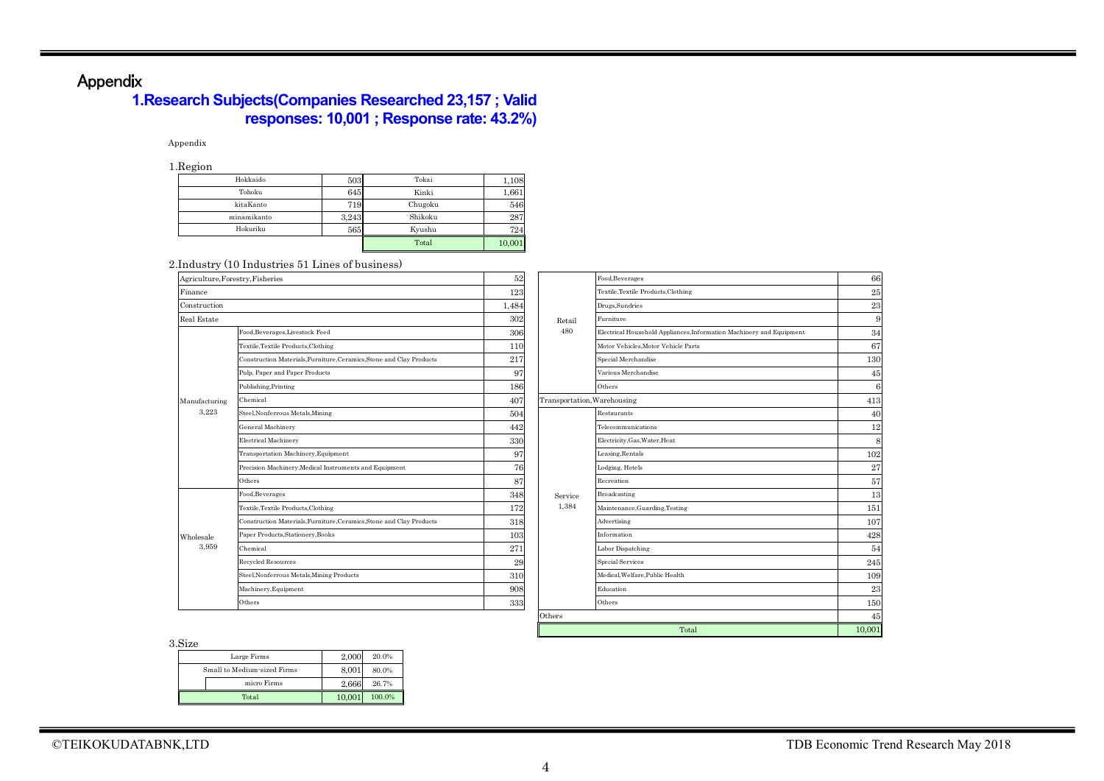# Appendix

## **1.Research Subjects(Companies Researched 23,157 ; Valid responses: 10,001 ; Response rate: 43.2%)**

#### Appendix

1.Region

| Hokkaido    | 503   | Tokai   | 1,108  |
|-------------|-------|---------|--------|
| Tohoku      | 645   | Kinki   | 1,661  |
| kitaKanto   | 719   | Chugoku | 546    |
| minamikanto | 3.243 | Shikoku | 287    |
| Hokuriku    | 565   | Kyushu  | 724    |
|             |       | Total   | 10,001 |

#### 2.Industry (10 Industries 51 Lines of business)

| Agriculture, Forestry, Fisheries |                                                                      | 52    |                             | Food, Beverages                                                      | 66     |  |  |
|----------------------------------|----------------------------------------------------------------------|-------|-----------------------------|----------------------------------------------------------------------|--------|--|--|
| Finance                          |                                                                      | 123   |                             | Textile, Textile Products, Clothing                                  | 25     |  |  |
| Construction                     |                                                                      | 1,484 |                             | Drugs, Sundries                                                      | 23     |  |  |
| Real Estate                      |                                                                      | 302   | Retail                      | Furniture                                                            | 9      |  |  |
|                                  | Food, Beverages, Livestock Feed                                      | 306   | 480                         | Electrical Household Appliances, Information Machinery and Equipment | 34     |  |  |
|                                  | Textile, Textile Products, Clothing                                  | 110   |                             | Motor Vehicles, Motor Vehicle Parts                                  | 67     |  |  |
|                                  | Construction Materials, Furniture, Ceramics, Stone and Clay Products | 217   |                             | Special Merchandise                                                  | 130    |  |  |
|                                  | Pulp, Paper and Paper Products                                       | 97    |                             | Various Merchandise                                                  | 45     |  |  |
|                                  | Publishing, Printing                                                 | 186   |                             | Others                                                               | 6      |  |  |
| Manufacturing                    | Chemical                                                             | 407   | Transportation, Warehousing |                                                                      | 413    |  |  |
| 3,223                            | Steel, Nonferrous Metals, Mining                                     | 504   |                             | Restaurants                                                          | 40     |  |  |
|                                  | General Machinery                                                    | 442   |                             | Telecommunications                                                   | 12     |  |  |
|                                  | Electrical Machinery                                                 | 330   |                             | Electricity, Gas, Water, Heat                                        | 8      |  |  |
|                                  | Transportation Machinery, Equipment                                  | 97    |                             | Leasing, Rentals                                                     | 102    |  |  |
|                                  | Precision Machinery, Medical Instruments and Equipment               | 76    |                             | Lodging, Hotels                                                      | 27     |  |  |
|                                  | Others                                                               | 87    |                             | Recreation                                                           | 57     |  |  |
|                                  | Food, Beverages                                                      | 348   | Service                     | Broadcasting                                                         | 13     |  |  |
|                                  | Textile, Textile Products, Clothing                                  | 172   | 1,384                       | Maintenance, Guarding, Testing                                       | 151    |  |  |
|                                  | Construction Materials, Furniture, Ceramics, Stone and Clay Products | 318   |                             | Advertising                                                          | 107    |  |  |
| Wholesale                        | Paper Products, Stationery, Books                                    | 103   |                             | Information                                                          | 428    |  |  |
| 3,959                            | Chemical                                                             | 271   |                             | Labor Dispatching                                                    | 54     |  |  |
|                                  | Recycled Resources                                                   | 29    |                             | <b>Special Services</b>                                              | 245    |  |  |
|                                  | Steel, Nonferrous Metals, Mining Products                            | 310   |                             | Medical, Welfare, Public Health                                      | 109    |  |  |
|                                  | Machinery, Equipment                                                 | 908   |                             | Education                                                            | 23     |  |  |
|                                  | Others                                                               | 333   |                             | Others                                                               | 150    |  |  |
|                                  |                                                                      |       | Others                      |                                                                      |        |  |  |
|                                  |                                                                      |       |                             | Total                                                                | 10,001 |  |  |

3.Size

| ,,,,,,                      |        |        |
|-----------------------------|--------|--------|
| Large Firms                 | 2.000  | 20.0%  |
| Small to Medium-sized Firms | 8.001  | 80.0%  |
| micro Firms                 | 2.666  | 26.7%  |
| Total                       | 10.001 | 100.0% |